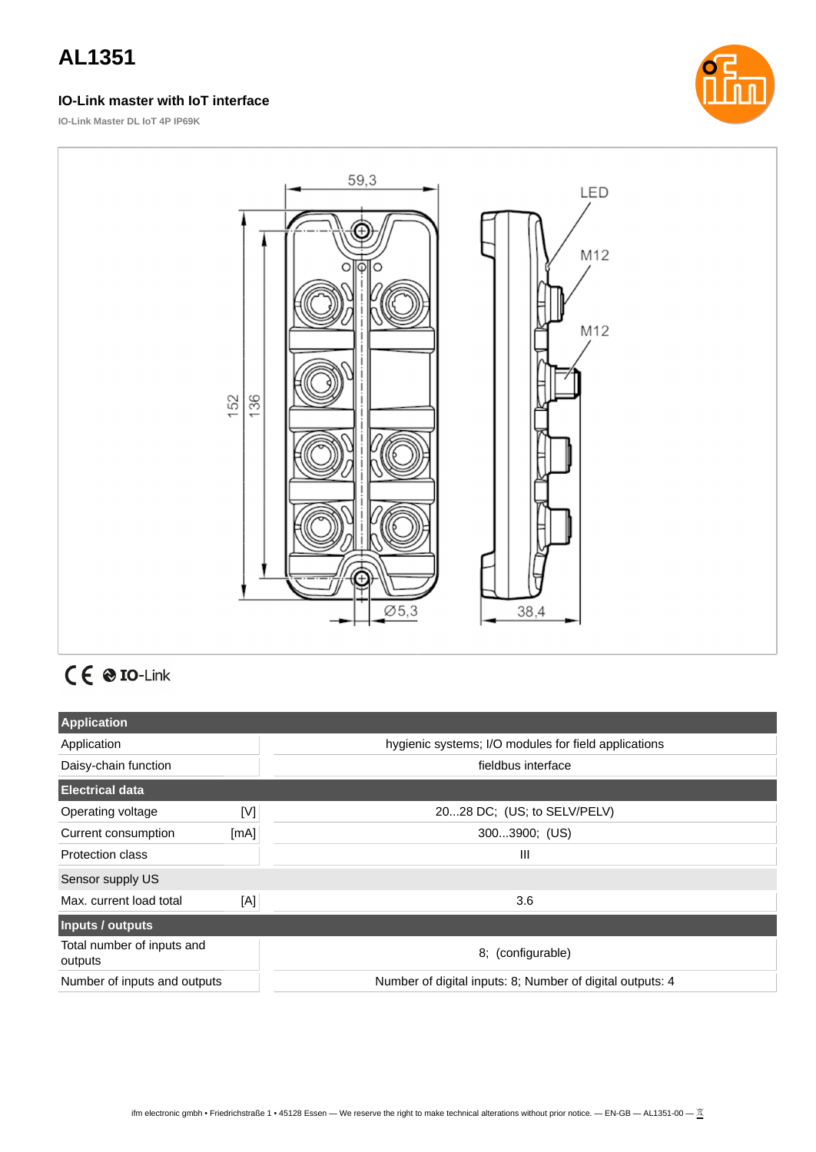### **IO-Link master with IoT interface**



**IO-Link Master DL IoT 4P IP69K**



# $C \in \mathcal{O}$  IO-Link

| <b>Application</b>                    |      |                                                           |
|---------------------------------------|------|-----------------------------------------------------------|
| Application                           |      | hygienic systems; I/O modules for field applications      |
| Daisy-chain function                  |      | fieldbus interface                                        |
| <b>Electrical data</b>                |      |                                                           |
| Operating voltage                     | [V]  | 2028 DC; (US; to SELV/PELV)                               |
| Current consumption                   | [mA] | 3003900; (US)                                             |
| <b>Protection class</b>               |      | $\mathbf{III}$                                            |
| Sensor supply US                      |      |                                                           |
| Max. current load total               | [A]  | 3.6                                                       |
| Inputs / outputs                      |      |                                                           |
| Total number of inputs and<br>outputs |      | 8; (configurable)                                         |
| Number of inputs and outputs          |      | Number of digital inputs: 8; Number of digital outputs: 4 |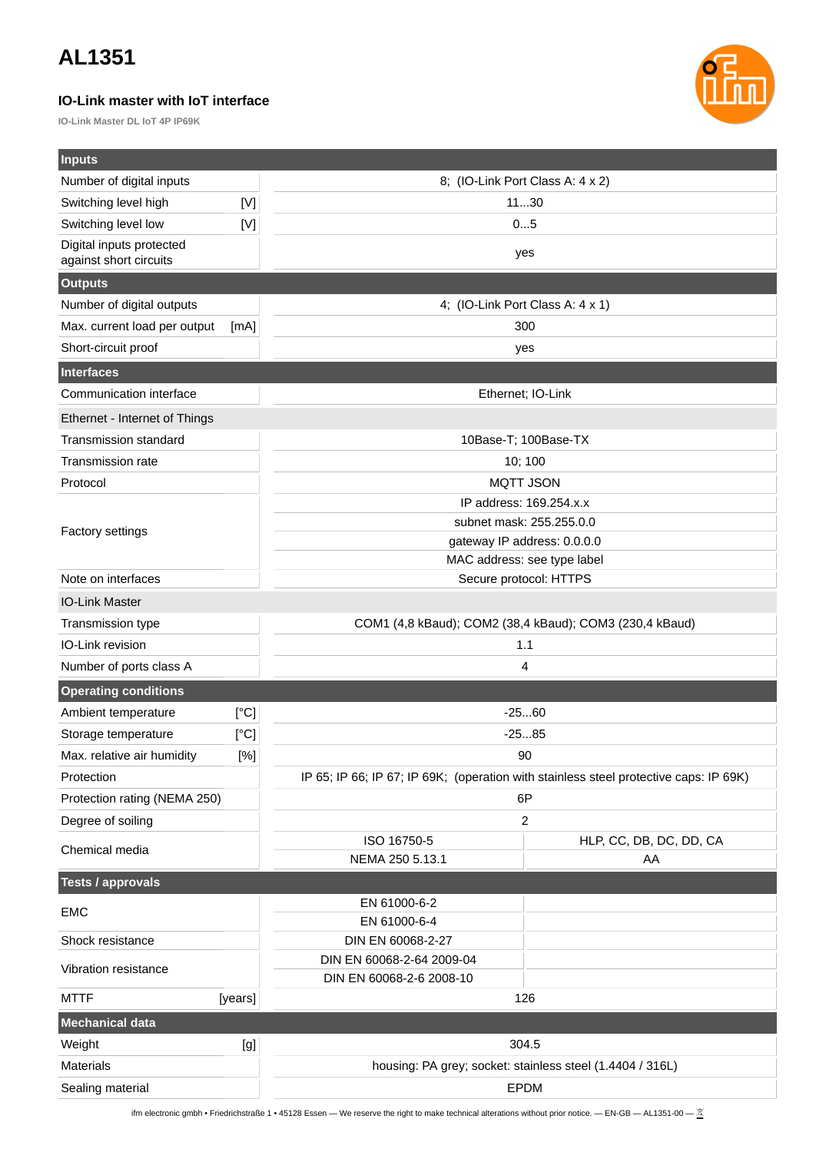#### **IO-Link master with IoT interface**

**IO-Link Master DL IoT 4P IP69K**



| <b>Inputs</b>                                       |             |                                                                                       |  |
|-----------------------------------------------------|-------------|---------------------------------------------------------------------------------------|--|
| Number of digital inputs                            |             | 8; (IO-Link Port Class A: 4 x 2)                                                      |  |
| Switching level high                                | $[{\sf V}]$ | 1130                                                                                  |  |
| Switching level low                                 | [<]         | 05                                                                                    |  |
| Digital inputs protected                            |             | yes                                                                                   |  |
| against short circuits                              |             |                                                                                       |  |
| <b>Outputs</b>                                      |             |                                                                                       |  |
| Number of digital outputs                           |             | 4; (IO-Link Port Class A: 4 x 1)<br>300                                               |  |
| Max. current load per output<br>Short-circuit proof | [mA]        |                                                                                       |  |
|                                                     |             | yes                                                                                   |  |
| <b>Interfaces</b><br>Communication interface        |             |                                                                                       |  |
|                                                     |             | Ethernet; IO-Link                                                                     |  |
| Ethernet - Internet of Things                       |             |                                                                                       |  |
| <b>Transmission standard</b>                        |             | 10Base-T; 100Base-TX                                                                  |  |
| <b>Transmission rate</b>                            |             | 10; 100                                                                               |  |
| Protocol                                            |             | <b>MQTT JSON</b><br>IP address: 169.254.x.x                                           |  |
|                                                     |             | subnet mask: 255.255.0.0                                                              |  |
| <b>Factory settings</b>                             |             | gateway IP address: 0.0.0.0                                                           |  |
|                                                     |             | MAC address: see type label                                                           |  |
| Note on interfaces                                  |             | Secure protocol: HTTPS                                                                |  |
| <b>IO-Link Master</b>                               |             |                                                                                       |  |
| Transmission type                                   |             | COM1 (4,8 kBaud); COM2 (38,4 kBaud); COM3 (230,4 kBaud)                               |  |
| IO-Link revision                                    |             | 1.1                                                                                   |  |
| Number of ports class A                             |             | 4                                                                                     |  |
| <b>Operating conditions</b>                         |             |                                                                                       |  |
| Ambient temperature                                 | [°C]        | $-2560$                                                                               |  |
| Storage temperature                                 | [°C]        | $-2585$                                                                               |  |
| Max. relative air humidity                          | $[%]$       | 90                                                                                    |  |
| Protection                                          |             | IP 65; IP 66; IP 67; IP 69K; (operation with stainless steel protective caps: IP 69K) |  |
| Protection rating (NEMA 250)                        |             | 6P                                                                                    |  |
| Degree of soiling                                   |             | 2                                                                                     |  |
| Chemical media                                      |             | ISO 16750-5<br>HLP, CC, DB, DC, DD, CA                                                |  |
|                                                     |             | NEMA 250 5.13.1<br>AA                                                                 |  |
| <b>Tests / approvals</b>                            |             |                                                                                       |  |
| <b>EMC</b>                                          |             | EN 61000-6-2<br>EN 61000-6-4                                                          |  |
| Shock resistance                                    |             | DIN EN 60068-2-27                                                                     |  |
| Vibration resistance                                |             | DIN EN 60068-2-64 2009-04                                                             |  |
| <b>MTTF</b>                                         | [years]     | DIN EN 60068-2-6 2008-10<br>126                                                       |  |
| <b>Mechanical data</b>                              |             |                                                                                       |  |
| Weight                                              | [g]         | 304.5                                                                                 |  |
| <b>Materials</b>                                    |             | housing: PA grey; socket: stainless steel (1.4404 / 316L)                             |  |
| Sealing material                                    |             | <b>EPDM</b>                                                                           |  |
|                                                     |             |                                                                                       |  |

ifm electronic gmbh • Friedrichstraße 1 • 45128 Essen — We reserve the right to make technical alterations without prior notice. — EN-GB — AL1351-00 —  $\frac{\mathbb{X}}{2}$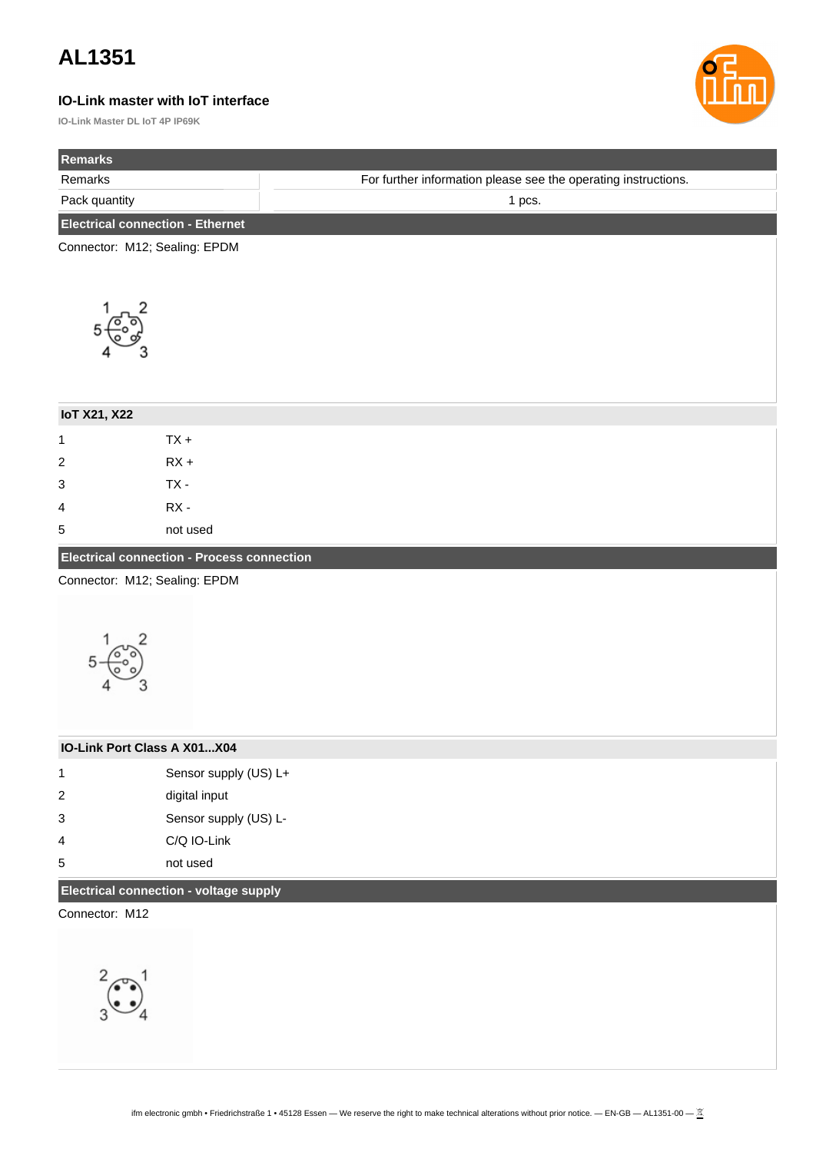#### **IO-Link master with IoT interface**

**IO-Link Master DL IoT 4P IP69K**



| Remarks                                 |                                                   |                                                                |
|-----------------------------------------|---------------------------------------------------|----------------------------------------------------------------|
| Remarks                                 |                                                   | For further information please see the operating instructions. |
| Pack quantity                           |                                                   | 1 pcs.                                                         |
| <b>Electrical connection - Ethernet</b> |                                                   |                                                                |
| Connector: M12; Sealing: EPDM           |                                                   |                                                                |
|                                         |                                                   |                                                                |
|                                         |                                                   |                                                                |
|                                         |                                                   |                                                                |
|                                         |                                                   |                                                                |
|                                         |                                                   |                                                                |
|                                         |                                                   |                                                                |
| <b>IoT X21, X22</b>                     |                                                   |                                                                |
| $\mathbf{1}$                            | $TX +$                                            |                                                                |
| $\overline{\mathbf{c}}$                 | $RX +$                                            |                                                                |
| 3                                       | $TX -$                                            |                                                                |
| 4                                       | $RX -$                                            |                                                                |
| 5                                       | not used                                          |                                                                |
|                                         | <b>Electrical connection - Process connection</b> |                                                                |
| Connector: M12; Sealing: EPDM           |                                                   |                                                                |
|                                         |                                                   |                                                                |
|                                         |                                                   |                                                                |
|                                         |                                                   |                                                                |
|                                         |                                                   |                                                                |
|                                         |                                                   |                                                                |
|                                         |                                                   |                                                                |
| IO-Link Port Class A X01X04             |                                                   |                                                                |
| $\mathbf 1$                             | Sensor supply (US) L+                             |                                                                |
| $\overline{\mathbf{c}}$                 | digital input                                     |                                                                |
| 3                                       | Sensor supply (US) L-                             |                                                                |
| 4                                       | C/Q IO-Link                                       |                                                                |
| 5                                       | not used                                          |                                                                |
|                                         | Electrical connection - voltage supply            |                                                                |
| Connector: M12                          |                                                   |                                                                |
|                                         |                                                   |                                                                |
|                                         |                                                   |                                                                |
|                                         |                                                   |                                                                |
|                                         |                                                   |                                                                |
|                                         |                                                   |                                                                |
|                                         |                                                   |                                                                |